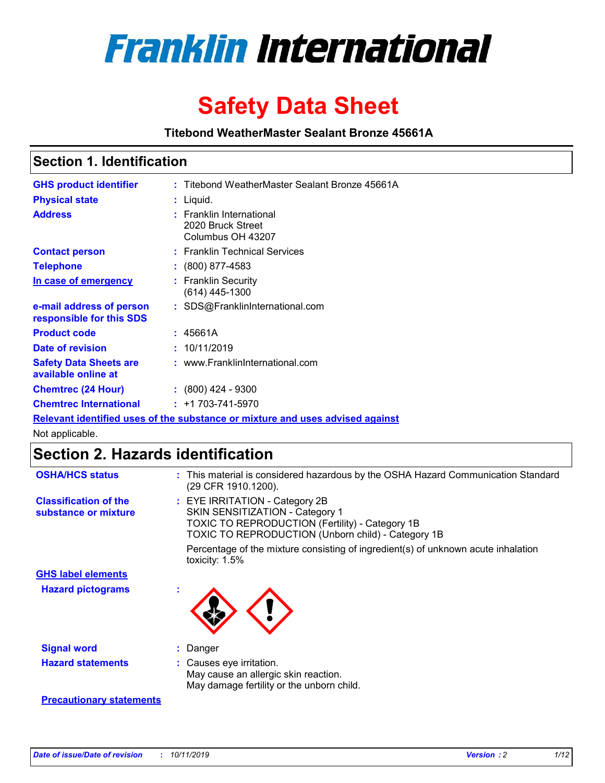

# **Safety Data Sheet**

**Titebond WeatherMaster Sealant Bronze 45661A**

### **Section 1. Identification**

| <b>GHS product identifier</b>                        | : Titebond WeatherMaster Sealant Bronze 45661A                                |
|------------------------------------------------------|-------------------------------------------------------------------------------|
| <b>Physical state</b>                                | : Liquid.                                                                     |
| <b>Address</b>                                       | : Franklin International<br>2020 Bruck Street<br>Columbus OH 43207            |
| <b>Contact person</b>                                | : Franklin Technical Services                                                 |
| <b>Telephone</b>                                     | $\colon$ (800) 877-4583                                                       |
| In case of emergency                                 | : Franklin Security<br>(614) 445-1300                                         |
| e-mail address of person<br>responsible for this SDS | : SDS@FranklinInternational.com                                               |
| <b>Product code</b>                                  | : 45661A                                                                      |
| Date of revision                                     | : 10/11/2019                                                                  |
| <b>Safety Data Sheets are</b><br>available online at | : www.FranklinInternational.com                                               |
| <b>Chemtrec (24 Hour)</b>                            | $: (800)$ 424 - 9300                                                          |
| <b>Chemtrec International</b>                        | $: +1703 - 741 - 5970$                                                        |
|                                                      | Relevant identified uses of the substance or mixture and uses advised against |

Not applicable.

## **Section 2. Hazards identification**

| <b>OSHA/HCS status</b>                               | : This material is considered hazardous by the OSHA Hazard Communication Standard<br>(29 CFR 1910.1200).                                                                                 |
|------------------------------------------------------|------------------------------------------------------------------------------------------------------------------------------------------------------------------------------------------|
| <b>Classification of the</b><br>substance or mixture | : EYE IRRITATION - Category 2B<br>SKIN SENSITIZATION - Category 1<br><b>TOXIC TO REPRODUCTION (Fertility) - Category 1B</b><br><b>TOXIC TO REPRODUCTION (Unborn child) - Category 1B</b> |
|                                                      | Percentage of the mixture consisting of ingredient(s) of unknown acute inhalation<br>toxicity: $1.5\%$                                                                                   |
| <b>GHS label elements</b>                            |                                                                                                                                                                                          |
| <b>Hazard pictograms</b>                             |                                                                                                                                                                                          |
| <b>Signal word</b>                                   | : Danger                                                                                                                                                                                 |
| <b>Hazard statements</b>                             | : Causes eye irritation.<br>May cause an allergic skin reaction.<br>May damage fertility or the unborn child.                                                                            |
| <b>Precautionary statements</b>                      |                                                                                                                                                                                          |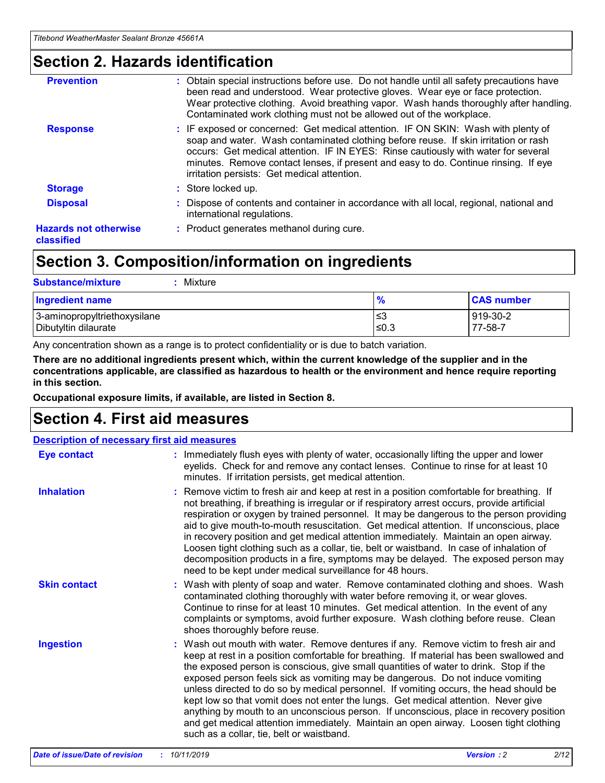### **Section 2. Hazards identification**

| <b>Prevention</b>                          | : Obtain special instructions before use. Do not handle until all safety precautions have<br>been read and understood. Wear protective gloves. Wear eye or face protection.<br>Wear protective clothing. Avoid breathing vapor. Wash hands thoroughly after handling.<br>Contaminated work clothing must not be allowed out of the workplace.                                                        |
|--------------------------------------------|------------------------------------------------------------------------------------------------------------------------------------------------------------------------------------------------------------------------------------------------------------------------------------------------------------------------------------------------------------------------------------------------------|
| <b>Response</b>                            | : IF exposed or concerned: Get medical attention. IF ON SKIN: Wash with plenty of<br>soap and water. Wash contaminated clothing before reuse. If skin irritation or rash<br>occurs: Get medical attention. IF IN EYES: Rinse cautiously with water for several<br>minutes. Remove contact lenses, if present and easy to do. Continue rinsing. If eye<br>irritation persists: Get medical attention. |
| <b>Storage</b>                             | : Store locked up.                                                                                                                                                                                                                                                                                                                                                                                   |
| <b>Disposal</b>                            | : Dispose of contents and container in accordance with all local, regional, national and<br>international regulations.                                                                                                                                                                                                                                                                               |
| <b>Hazards not otherwise</b><br>classified | : Product generates methanol during cure.                                                                                                                                                                                                                                                                                                                                                            |
|                                            |                                                                                                                                                                                                                                                                                                                                                                                                      |

### **Section 3. Composition/information on ingredients**

| <b>Substance/mixture</b><br>Mixture                  |               |                     |
|------------------------------------------------------|---------------|---------------------|
| <b>Ingredient name</b>                               | $\frac{9}{6}$ | <b>CAS number</b>   |
| 3-aminopropyltriethoxysilane<br>Dibutyltin dilaurate | l≤3<br>≤0.3   | 919-30-2<br>77-58-7 |

Any concentration shown as a range is to protect confidentiality or is due to batch variation.

**There are no additional ingredients present which, within the current knowledge of the supplier and in the concentrations applicable, are classified as hazardous to health or the environment and hence require reporting in this section.**

**Occupational exposure limits, if available, are listed in Section 8.**

### **Section 4. First aid measures**

| <b>Description of necessary first aid measures</b> |                                                                                                                                                                                                                                                                                                                                                                                                                                                                                                                                                                                                                                                                                                                                                                           |  |  |  |
|----------------------------------------------------|---------------------------------------------------------------------------------------------------------------------------------------------------------------------------------------------------------------------------------------------------------------------------------------------------------------------------------------------------------------------------------------------------------------------------------------------------------------------------------------------------------------------------------------------------------------------------------------------------------------------------------------------------------------------------------------------------------------------------------------------------------------------------|--|--|--|
| <b>Eye contact</b>                                 | : Immediately flush eyes with plenty of water, occasionally lifting the upper and lower<br>eyelids. Check for and remove any contact lenses. Continue to rinse for at least 10<br>minutes. If irritation persists, get medical attention.                                                                                                                                                                                                                                                                                                                                                                                                                                                                                                                                 |  |  |  |
| <b>Inhalation</b>                                  | : Remove victim to fresh air and keep at rest in a position comfortable for breathing. If<br>not breathing, if breathing is irregular or if respiratory arrest occurs, provide artificial<br>respiration or oxygen by trained personnel. It may be dangerous to the person providing<br>aid to give mouth-to-mouth resuscitation. Get medical attention. If unconscious, place<br>in recovery position and get medical attention immediately. Maintain an open airway.<br>Loosen tight clothing such as a collar, tie, belt or waistband. In case of inhalation of<br>decomposition products in a fire, symptoms may be delayed. The exposed person may<br>need to be kept under medical surveillance for 48 hours.                                                       |  |  |  |
| <b>Skin contact</b>                                | : Wash with plenty of soap and water. Remove contaminated clothing and shoes. Wash<br>contaminated clothing thoroughly with water before removing it, or wear gloves.<br>Continue to rinse for at least 10 minutes. Get medical attention. In the event of any<br>complaints or symptoms, avoid further exposure. Wash clothing before reuse. Clean<br>shoes thoroughly before reuse.                                                                                                                                                                                                                                                                                                                                                                                     |  |  |  |
| <b>Ingestion</b>                                   | : Wash out mouth with water. Remove dentures if any. Remove victim to fresh air and<br>keep at rest in a position comfortable for breathing. If material has been swallowed and<br>the exposed person is conscious, give small quantities of water to drink. Stop if the<br>exposed person feels sick as vomiting may be dangerous. Do not induce vomiting<br>unless directed to do so by medical personnel. If vomiting occurs, the head should be<br>kept low so that vomit does not enter the lungs. Get medical attention. Never give<br>anything by mouth to an unconscious person. If unconscious, place in recovery position<br>and get medical attention immediately. Maintain an open airway. Loosen tight clothing<br>such as a collar, tie, belt or waistband. |  |  |  |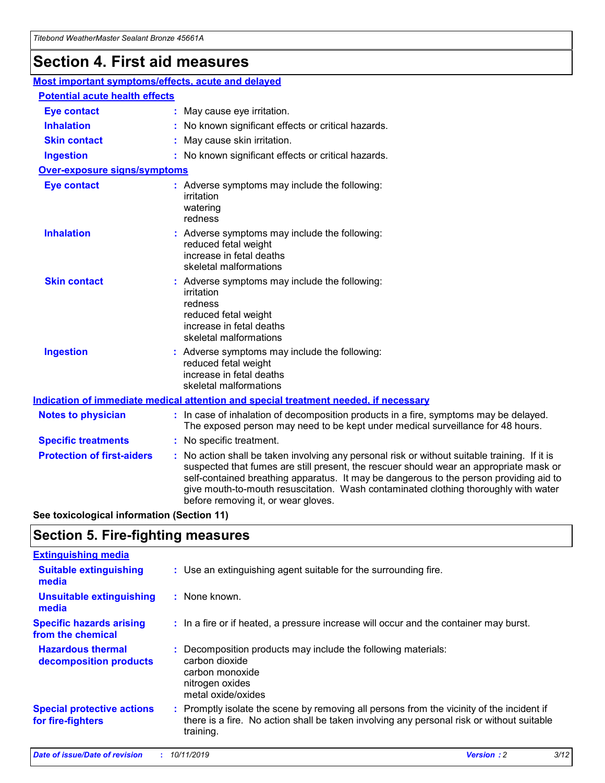## **Section 4. First aid measures**

| Most important symptoms/effects, acute and delayed |  |                                                                                                                                                                                                                                                                                                                                                                                                                 |  |  |
|----------------------------------------------------|--|-----------------------------------------------------------------------------------------------------------------------------------------------------------------------------------------------------------------------------------------------------------------------------------------------------------------------------------------------------------------------------------------------------------------|--|--|
| <b>Potential acute health effects</b>              |  |                                                                                                                                                                                                                                                                                                                                                                                                                 |  |  |
| <b>Eye contact</b>                                 |  | : May cause eye irritation.                                                                                                                                                                                                                                                                                                                                                                                     |  |  |
| <b>Inhalation</b>                                  |  | : No known significant effects or critical hazards.                                                                                                                                                                                                                                                                                                                                                             |  |  |
| <b>Skin contact</b>                                |  | : May cause skin irritation.                                                                                                                                                                                                                                                                                                                                                                                    |  |  |
| <b>Ingestion</b>                                   |  | : No known significant effects or critical hazards.                                                                                                                                                                                                                                                                                                                                                             |  |  |
| Over-exposure signs/symptoms                       |  |                                                                                                                                                                                                                                                                                                                                                                                                                 |  |  |
| <b>Eye contact</b>                                 |  | : Adverse symptoms may include the following:<br>irritation<br>watering<br>redness                                                                                                                                                                                                                                                                                                                              |  |  |
| <b>Inhalation</b>                                  |  | : Adverse symptoms may include the following:<br>reduced fetal weight<br>increase in fetal deaths<br>skeletal malformations                                                                                                                                                                                                                                                                                     |  |  |
| <b>Skin contact</b>                                |  | : Adverse symptoms may include the following:<br>irritation<br>redness<br>reduced fetal weight<br>increase in fetal deaths<br>skeletal malformations                                                                                                                                                                                                                                                            |  |  |
| <b>Ingestion</b>                                   |  | : Adverse symptoms may include the following:<br>reduced fetal weight<br>increase in fetal deaths<br>skeletal malformations                                                                                                                                                                                                                                                                                     |  |  |
|                                                    |  | <b>Indication of immediate medical attention and special treatment needed, if necessary</b>                                                                                                                                                                                                                                                                                                                     |  |  |
| <b>Notes to physician</b>                          |  | : In case of inhalation of decomposition products in a fire, symptoms may be delayed.<br>The exposed person may need to be kept under medical surveillance for 48 hours.                                                                                                                                                                                                                                        |  |  |
| <b>Specific treatments</b>                         |  | : No specific treatment.                                                                                                                                                                                                                                                                                                                                                                                        |  |  |
| <b>Protection of first-aiders</b>                  |  | : No action shall be taken involving any personal risk or without suitable training. If it is<br>suspected that fumes are still present, the rescuer should wear an appropriate mask or<br>self-contained breathing apparatus. It may be dangerous to the person providing aid to<br>give mouth-to-mouth resuscitation. Wash contaminated clothing thoroughly with water<br>before removing it, or wear gloves. |  |  |

**See toxicological information (Section 11)**

### **Section 5. Fire-fighting measures**

| <b>Extinguishing media</b>                             |                                                                                                                                                                                                     |
|--------------------------------------------------------|-----------------------------------------------------------------------------------------------------------------------------------------------------------------------------------------------------|
| <b>Suitable extinguishing</b><br>media                 | : Use an extinguishing agent suitable for the surrounding fire.                                                                                                                                     |
| <b>Unsuitable extinguishing</b><br>media               | : None known.                                                                                                                                                                                       |
| <b>Specific hazards arising</b><br>from the chemical   | : In a fire or if heated, a pressure increase will occur and the container may burst.                                                                                                               |
| <b>Hazardous thermal</b><br>decomposition products     | : Decomposition products may include the following materials:<br>carbon dioxide<br>carbon monoxide<br>nitrogen oxides<br>metal oxide/oxides                                                         |
| <b>Special protective actions</b><br>for fire-fighters | : Promptly isolate the scene by removing all persons from the vicinity of the incident if<br>there is a fire. No action shall be taken involving any personal risk or without suitable<br>training. |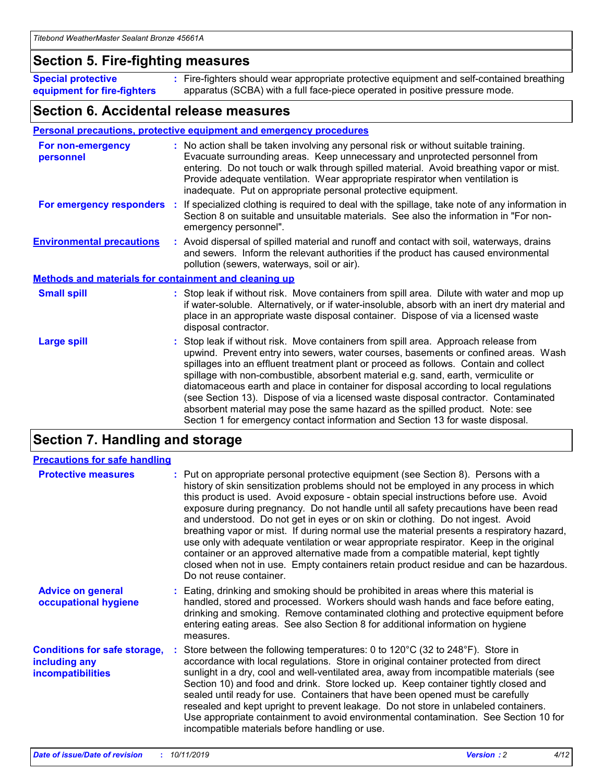### **Section 5. Fire-fighting measures**

**Special protective equipment for fire-fighters** Fire-fighters should wear appropriate protective equipment and self-contained breathing **:** apparatus (SCBA) with a full face-piece operated in positive pressure mode.

### **Section 6. Accidental release measures**

#### **Personal precautions, protective equipment and emergency procedures**

| For non-emergency<br>personnel   |                                                              | : No action shall be taken involving any personal risk or without suitable training.<br>Evacuate surrounding areas. Keep unnecessary and unprotected personnel from<br>entering. Do not touch or walk through spilled material. Avoid breathing vapor or mist.<br>Provide adequate ventilation. Wear appropriate respirator when ventilation is<br>inadequate. Put on appropriate personal protective equipment.                                                                                                                                                                                                                                                                                             |  |  |  |
|----------------------------------|--------------------------------------------------------------|--------------------------------------------------------------------------------------------------------------------------------------------------------------------------------------------------------------------------------------------------------------------------------------------------------------------------------------------------------------------------------------------------------------------------------------------------------------------------------------------------------------------------------------------------------------------------------------------------------------------------------------------------------------------------------------------------------------|--|--|--|
|                                  |                                                              | For emergency responders : If specialized clothing is required to deal with the spillage, take note of any information in<br>Section 8 on suitable and unsuitable materials. See also the information in "For non-<br>emergency personnel".                                                                                                                                                                                                                                                                                                                                                                                                                                                                  |  |  |  |
| <b>Environmental precautions</b> |                                                              | : Avoid dispersal of spilled material and runoff and contact with soil, waterways, drains<br>and sewers. Inform the relevant authorities if the product has caused environmental<br>pollution (sewers, waterways, soil or air).                                                                                                                                                                                                                                                                                                                                                                                                                                                                              |  |  |  |
|                                  | <b>Methods and materials for containment and cleaning up</b> |                                                                                                                                                                                                                                                                                                                                                                                                                                                                                                                                                                                                                                                                                                              |  |  |  |
| <b>Small spill</b>               |                                                              | : Stop leak if without risk. Move containers from spill area. Dilute with water and mop up<br>if water-soluble. Alternatively, or if water-insoluble, absorb with an inert dry material and<br>place in an appropriate waste disposal container. Dispose of via a licensed waste<br>disposal contractor.                                                                                                                                                                                                                                                                                                                                                                                                     |  |  |  |
| <b>Large spill</b>               |                                                              | : Stop leak if without risk. Move containers from spill area. Approach release from<br>upwind. Prevent entry into sewers, water courses, basements or confined areas. Wash<br>spillages into an effluent treatment plant or proceed as follows. Contain and collect<br>spillage with non-combustible, absorbent material e.g. sand, earth, vermiculite or<br>diatomaceous earth and place in container for disposal according to local regulations<br>(see Section 13). Dispose of via a licensed waste disposal contractor. Contaminated<br>absorbent material may pose the same hazard as the spilled product. Note: see<br>Section 1 for emergency contact information and Section 13 for waste disposal. |  |  |  |

### **Section 7. Handling and storage**

| <b>Precautions for safe handling</b>                                             |                                                                                                                                                                                                                                                                                                                                                                                                                                                                                                                                                                                                                                                                                                                                                                                                                                                  |
|----------------------------------------------------------------------------------|--------------------------------------------------------------------------------------------------------------------------------------------------------------------------------------------------------------------------------------------------------------------------------------------------------------------------------------------------------------------------------------------------------------------------------------------------------------------------------------------------------------------------------------------------------------------------------------------------------------------------------------------------------------------------------------------------------------------------------------------------------------------------------------------------------------------------------------------------|
| <b>Protective measures</b>                                                       | : Put on appropriate personal protective equipment (see Section 8). Persons with a<br>history of skin sensitization problems should not be employed in any process in which<br>this product is used. Avoid exposure - obtain special instructions before use. Avoid<br>exposure during pregnancy. Do not handle until all safety precautions have been read<br>and understood. Do not get in eyes or on skin or clothing. Do not ingest. Avoid<br>breathing vapor or mist. If during normal use the material presents a respiratory hazard,<br>use only with adequate ventilation or wear appropriate respirator. Keep in the original<br>container or an approved alternative made from a compatible material, kept tightly<br>closed when not in use. Empty containers retain product residue and can be hazardous.<br>Do not reuse container. |
| <b>Advice on general</b><br>occupational hygiene                                 | : Eating, drinking and smoking should be prohibited in areas where this material is<br>handled, stored and processed. Workers should wash hands and face before eating,<br>drinking and smoking. Remove contaminated clothing and protective equipment before<br>entering eating areas. See also Section 8 for additional information on hygiene<br>measures.                                                                                                                                                                                                                                                                                                                                                                                                                                                                                    |
| <b>Conditions for safe storage,</b><br>including any<br><b>incompatibilities</b> | Store between the following temperatures: 0 to 120°C (32 to 248°F). Store in<br>accordance with local regulations. Store in original container protected from direct<br>sunlight in a dry, cool and well-ventilated area, away from incompatible materials (see<br>Section 10) and food and drink. Store locked up. Keep container tightly closed and<br>sealed until ready for use. Containers that have been opened must be carefully<br>resealed and kept upright to prevent leakage. Do not store in unlabeled containers.<br>Use appropriate containment to avoid environmental contamination. See Section 10 for<br>incompatible materials before handling or use.                                                                                                                                                                         |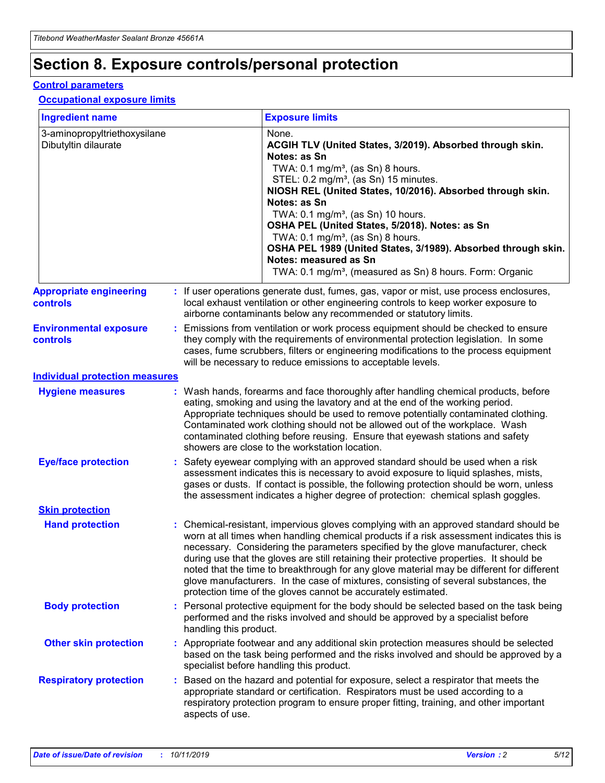## **Section 8. Exposure controls/personal protection**

#### **Control parameters**

#### **Occupational exposure limits**

| <b>Ingredient name</b>                               |    |                                          | <b>Exposure limits</b>                                                                                                                                                                                                                                                                                                                                                                                                                                                                                                                                                                                                 |
|------------------------------------------------------|----|------------------------------------------|------------------------------------------------------------------------------------------------------------------------------------------------------------------------------------------------------------------------------------------------------------------------------------------------------------------------------------------------------------------------------------------------------------------------------------------------------------------------------------------------------------------------------------------------------------------------------------------------------------------------|
| 3-aminopropyltriethoxysilane<br>Dibutyltin dilaurate |    |                                          | None.<br>ACGIH TLV (United States, 3/2019). Absorbed through skin.<br>Notes: as Sn<br>TWA: 0.1 mg/m <sup>3</sup> , (as Sn) 8 hours.<br>STEL: 0.2 mg/m <sup>3</sup> , (as Sn) 15 minutes.<br>NIOSH REL (United States, 10/2016). Absorbed through skin.<br>Notes: as Sn<br>TWA: 0.1 mg/m <sup>3</sup> , (as Sn) 10 hours.<br>OSHA PEL (United States, 5/2018). Notes: as Sn<br>TWA: $0.1 \text{ mg/m}^3$ , (as Sn) 8 hours.<br>OSHA PEL 1989 (United States, 3/1989). Absorbed through skin.<br>Notes: measured as Sn<br>TWA: 0.1 mg/m <sup>3</sup> , (measured as Sn) 8 hours. Form: Organic                           |
| <b>Appropriate engineering</b><br>controls           |    |                                          | : If user operations generate dust, fumes, gas, vapor or mist, use process enclosures,<br>local exhaust ventilation or other engineering controls to keep worker exposure to<br>airborne contaminants below any recommended or statutory limits.                                                                                                                                                                                                                                                                                                                                                                       |
| <b>Environmental exposure</b><br><b>controls</b>     |    |                                          | Emissions from ventilation or work process equipment should be checked to ensure<br>they comply with the requirements of environmental protection legislation. In some<br>cases, fume scrubbers, filters or engineering modifications to the process equipment<br>will be necessary to reduce emissions to acceptable levels.                                                                                                                                                                                                                                                                                          |
| <b>Individual protection measures</b>                |    |                                          |                                                                                                                                                                                                                                                                                                                                                                                                                                                                                                                                                                                                                        |
| <b>Hygiene measures</b>                              |    |                                          | : Wash hands, forearms and face thoroughly after handling chemical products, before<br>eating, smoking and using the lavatory and at the end of the working period.<br>Appropriate techniques should be used to remove potentially contaminated clothing.<br>Contaminated work clothing should not be allowed out of the workplace. Wash<br>contaminated clothing before reusing. Ensure that eyewash stations and safety<br>showers are close to the workstation location.                                                                                                                                            |
| <b>Eye/face protection</b>                           |    |                                          | : Safety eyewear complying with an approved standard should be used when a risk<br>assessment indicates this is necessary to avoid exposure to liquid splashes, mists,<br>gases or dusts. If contact is possible, the following protection should be worn, unless<br>the assessment indicates a higher degree of protection: chemical splash goggles.                                                                                                                                                                                                                                                                  |
| <b>Skin protection</b>                               |    |                                          |                                                                                                                                                                                                                                                                                                                                                                                                                                                                                                                                                                                                                        |
| <b>Hand protection</b>                               |    |                                          | : Chemical-resistant, impervious gloves complying with an approved standard should be<br>worn at all times when handling chemical products if a risk assessment indicates this is<br>necessary. Considering the parameters specified by the glove manufacturer, check<br>during use that the gloves are still retaining their protective properties. It should be<br>noted that the time to breakthrough for any glove material may be different for different<br>glove manufacturers. In the case of mixtures, consisting of several substances, the<br>protection time of the gloves cannot be accurately estimated. |
| <b>Body protection</b>                               |    | handling this product.                   | Personal protective equipment for the body should be selected based on the task being<br>performed and the risks involved and should be approved by a specialist before                                                                                                                                                                                                                                                                                                                                                                                                                                                |
| <b>Other skin protection</b>                         |    | specialist before handling this product. | : Appropriate footwear and any additional skin protection measures should be selected<br>based on the task being performed and the risks involved and should be approved by a                                                                                                                                                                                                                                                                                                                                                                                                                                          |
| <b>Respiratory protection</b>                        | ÷. | aspects of use.                          | Based on the hazard and potential for exposure, select a respirator that meets the<br>appropriate standard or certification. Respirators must be used according to a<br>respiratory protection program to ensure proper fitting, training, and other important                                                                                                                                                                                                                                                                                                                                                         |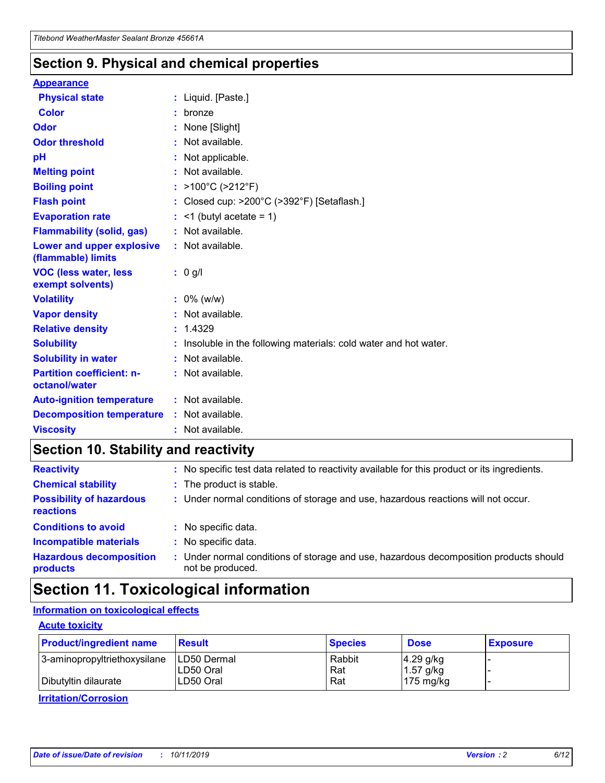### **Section 9. Physical and chemical properties**

#### **Appearance**

| <b>Physical state</b>                             | : Liquid. [Paste.]                                              |
|---------------------------------------------------|-----------------------------------------------------------------|
| <b>Color</b>                                      | bronze                                                          |
| Odor                                              | None [Slight]                                                   |
| <b>Odor threshold</b>                             | $:$ Not available.                                              |
| рH                                                | : Not applicable.                                               |
| <b>Melting point</b>                              | : Not available.                                                |
| <b>Boiling point</b>                              | : $>100^{\circ}$ C ( $>212^{\circ}$ F)                          |
| <b>Flash point</b>                                | : Closed cup: >200°C (>392°F) [Setaflash.]                      |
| <b>Evaporation rate</b>                           | $:$ <1 (butyl acetate = 1)                                      |
| <b>Flammability (solid, gas)</b>                  | : Not available.                                                |
| Lower and upper explosive<br>(flammable) limits   | : Not available.                                                |
| <b>VOC (less water, less</b><br>exempt solvents)  | : 0 g/l                                                         |
|                                                   |                                                                 |
| <b>Volatility</b>                                 | $: 0\%$ (w/w)                                                   |
| <b>Vapor density</b>                              | : Not available.                                                |
| <b>Relative density</b>                           | : 1.4329                                                        |
| <b>Solubility</b>                                 | Insoluble in the following materials: cold water and hot water. |
| <b>Solubility in water</b>                        | : Not available.                                                |
| <b>Partition coefficient: n-</b><br>octanol/water | $:$ Not available.                                              |
| <b>Auto-ignition temperature</b>                  | : Not available.                                                |
| <b>Decomposition temperature</b>                  | : Not available.                                                |

### **Section 10. Stability and reactivity**

| <b>Reactivity</b>                            | : No specific test data related to reactivity available for this product or its ingredients.            |
|----------------------------------------------|---------------------------------------------------------------------------------------------------------|
| <b>Chemical stability</b>                    | : The product is stable.                                                                                |
| <b>Possibility of hazardous</b><br>reactions | : Under normal conditions of storage and use, hazardous reactions will not occur.                       |
| <b>Conditions to avoid</b>                   | : No specific data.                                                                                     |
| <b>Incompatible materials</b>                | : No specific data.                                                                                     |
| <b>Hazardous decomposition</b><br>products   | Under normal conditions of storage and use, hazardous decomposition products should<br>not be produced. |

## **Section 11. Toxicological information**

### **Information on toxicological effects**

#### **Acute toxicity**

| <b>Product/ingredient name</b> | <b>Result</b>           | <b>Species</b> | <b>Dose</b>                | <b>Exposure</b> |
|--------------------------------|-------------------------|----------------|----------------------------|-----------------|
| 3-aminopropyltriethoxysilane   | <b>ILD50 Dermal</b>     | Rabbit         | 4.29 g/kg                  |                 |
| Dibutyltin dilaurate           | ILD50 Oral<br>LD50 Oral | Rat<br>Rat     | $1.57$ g/kg<br>175 $mg/kg$ |                 |
|                                |                         |                |                            |                 |

**Irritation/Corrosion**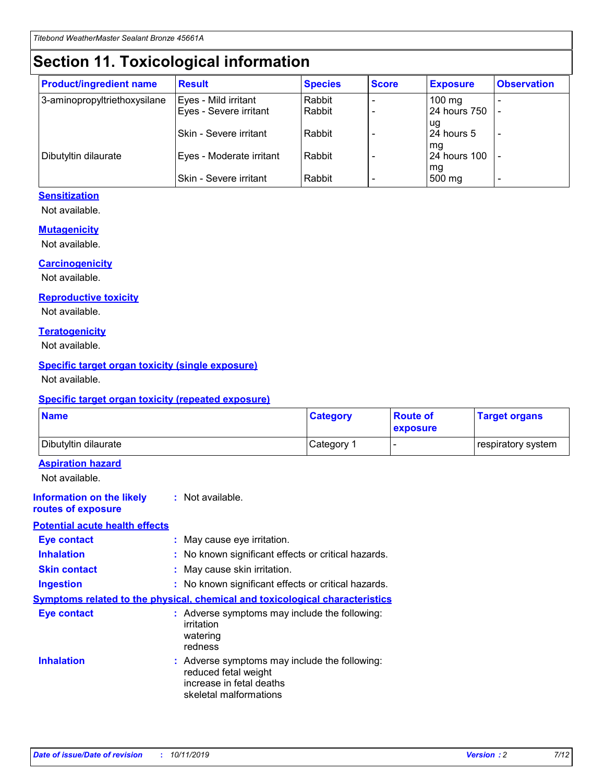## **Section 11. Toxicological information**

| <b>Product/ingredient name</b> | <b>Result</b>            | <b>Species</b> | <b>Score</b> | <b>Exposure</b>           | <b>Observation</b> |
|--------------------------------|--------------------------|----------------|--------------|---------------------------|--------------------|
| 3-aminopropyltriethoxysilane   | Eyes - Mild irritant     | Rabbit         |              | $100$ mg                  |                    |
|                                | Eyes - Severe irritant   | Rabbit         |              | 24 hours 750              |                    |
|                                |                          |                |              | ug                        |                    |
|                                | Skin - Severe irritant   | Rabbit         |              | 24 hours 5                | -                  |
| Dibutyltin dilaurate           | Eyes - Moderate irritant | Rabbit         |              | mq<br><b>24 hours 100</b> |                    |
|                                |                          |                |              | mg                        |                    |
|                                | Skin - Severe irritant   | Rabbit         |              | 500 mg                    |                    |

#### **Sensitization**

Not available.

#### **Mutagenicity**

Not available.

#### **Carcinogenicity**

Not available.

#### **Reproductive toxicity**

Not available.

#### **Teratogenicity**

Not available.

#### **Specific target organ toxicity (single exposure)**

Not available.

#### **Specific target organ toxicity (repeated exposure)**

| <b>Name</b>                                                                  |                                                                                                                             | <b>Category</b> | <b>Route of</b><br>exposure  | <b>Target organs</b> |
|------------------------------------------------------------------------------|-----------------------------------------------------------------------------------------------------------------------------|-----------------|------------------------------|----------------------|
| Dibutyltin dilaurate                                                         |                                                                                                                             | Category 1      | $\qquad \qquad \blacksquare$ | respiratory system   |
| <b>Aspiration hazard</b><br>Not available.                                   |                                                                                                                             |                 |                              |                      |
| <b>Information on the likely</b><br>routes of exposure                       | : Not available.                                                                                                            |                 |                              |                      |
| <b>Potential acute health effects</b>                                        |                                                                                                                             |                 |                              |                      |
| <b>Eye contact</b>                                                           | : May cause eye irritation.                                                                                                 |                 |                              |                      |
| <b>Inhalation</b>                                                            | : No known significant effects or critical hazards.                                                                         |                 |                              |                      |
| <b>Skin contact</b>                                                          | : May cause skin irritation.                                                                                                |                 |                              |                      |
| <b>Ingestion</b>                                                             | : No known significant effects or critical hazards.                                                                         |                 |                              |                      |
| Symptoms related to the physical, chemical and toxicological characteristics |                                                                                                                             |                 |                              |                      |
| <b>Eye contact</b>                                                           | : Adverse symptoms may include the following:<br>irritation<br>watering<br>redness                                          |                 |                              |                      |
| <b>Inhalation</b>                                                            | : Adverse symptoms may include the following:<br>reduced fetal weight<br>increase in fetal deaths<br>skeletal malformations |                 |                              |                      |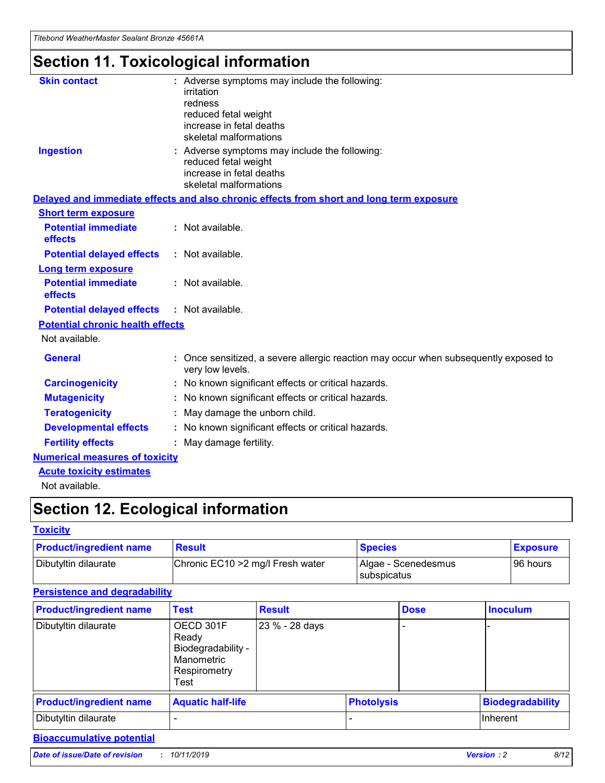*Titebond WeatherMaster Sealant Bronze 45661A*

## **Section 11. Toxicological information**

| <b>Skin contact</b>                     | : Adverse symptoms may include the following:<br>irritation<br>redness<br>reduced fetal weight<br>increase in fetal deaths<br>skeletal malformations |  |
|-----------------------------------------|------------------------------------------------------------------------------------------------------------------------------------------------------|--|
| <b>Ingestion</b>                        | : Adverse symptoms may include the following:<br>reduced fetal weight<br>increase in fetal deaths<br>skeletal malformations                          |  |
|                                         | Delayed and immediate effects and also chronic effects from short and long term exposure                                                             |  |
| <b>Short term exposure</b>              |                                                                                                                                                      |  |
| <b>Potential immediate</b><br>effects   | : Not available.                                                                                                                                     |  |
| <b>Potential delayed effects</b>        | : Not available.                                                                                                                                     |  |
| <b>Long term exposure</b>               |                                                                                                                                                      |  |
| <b>Potential immediate</b><br>effects   | : Not available.                                                                                                                                     |  |
| <b>Potential delayed effects</b>        | : Not available.                                                                                                                                     |  |
| <b>Potential chronic health effects</b> |                                                                                                                                                      |  |
| Not available.                          |                                                                                                                                                      |  |
| <b>General</b>                          | : Once sensitized, a severe allergic reaction may occur when subsequently exposed to<br>very low levels.                                             |  |
| <b>Carcinogenicity</b>                  | : No known significant effects or critical hazards.                                                                                                  |  |
| <b>Mutagenicity</b>                     | : No known significant effects or critical hazards.                                                                                                  |  |
| <b>Teratogenicity</b>                   | May damage the unborn child.                                                                                                                         |  |
| <b>Developmental effects</b>            | : No known significant effects or critical hazards.                                                                                                  |  |
| <b>Fertility effects</b>                | May damage fertility.                                                                                                                                |  |
| <b>Numerical measures of toxicity</b>   |                                                                                                                                                      |  |
| <b>Acute toxicity estimates</b>         |                                                                                                                                                      |  |
| الملحلة والمستحقق فالمرابط              |                                                                                                                                                      |  |

Not available.

## **Section 12. Ecological information**

#### **Toxicity**

| <b>Product/ingredient name</b> | <b>Result</b>                     | <b>Species</b>                       | <b>Exposure</b> |
|--------------------------------|-----------------------------------|--------------------------------------|-----------------|
| Dibutyltin dilaurate           | Chronic EC10 > 2 mg/l Fresh water | Algae - Scenedesmus<br>I subspicatus | l 96 hours      |

### **Persistence and degradability**

| <b>Product/ingredient name</b> | <b>Test</b>                                                                    | <b>Result</b>  |  | <b>Dose</b>       | <b>Inoculum</b>         |
|--------------------------------|--------------------------------------------------------------------------------|----------------|--|-------------------|-------------------------|
| Dibutyltin dilaurate           | OECD 301F<br>Ready<br>Biodegradability -<br>Manometric<br>Respirometry<br>Test | 23 % - 28 days |  |                   |                         |
| <b>Product/ingredient name</b> | <b>Aquatic half-life</b>                                                       |                |  | <b>Photolysis</b> | <b>Biodegradability</b> |
| Dibutyltin dilaurate           |                                                                                |                |  |                   | Inherent                |

### **Bioaccumulative potential**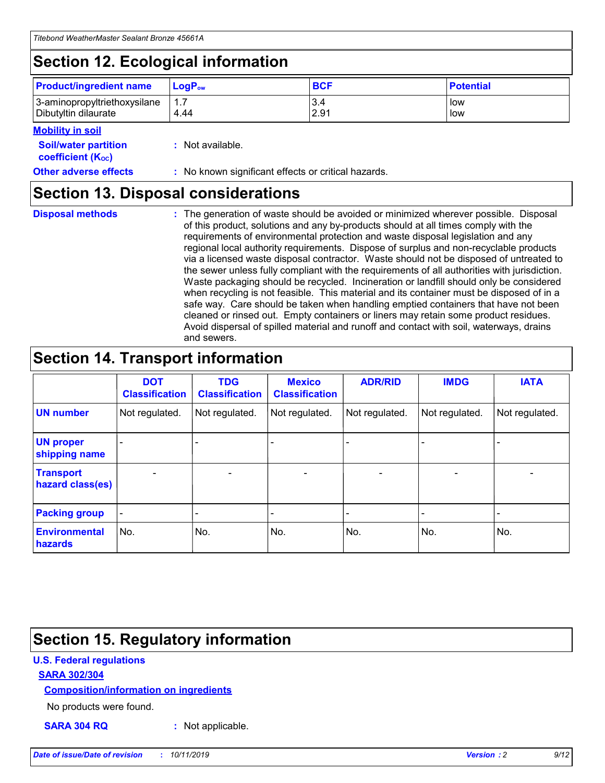## **Section 12. Ecological information**

| <b>Product/ingredient name</b>                       | ∣LoqP <sub>ow</sub> | <b>BCF</b>  | <b>Potential</b> |
|------------------------------------------------------|---------------------|-------------|------------------|
| 3-aminopropyltriethoxysilane<br>Dibutyltin dilaurate | 1.1<br>4.44         | 3.4<br>2.91 | low<br>low       |

#### **Mobility in soil**

| <b>Soil/water partition</b><br>coefficient (K <sub>oc</sub> ) | : Not available.                                    |
|---------------------------------------------------------------|-----------------------------------------------------|
| <b>Other adverse effects</b>                                  | : No known significant effects or critical hazards. |

### **Section 13. Disposal considerations**

| <b>Disposal methods</b> |  |  |
|-------------------------|--|--|

**Disposal methods** : The generation of waste should be avoided or minimized wherever possible. Disposal of this product, solutions and any by-products should at all times comply with the requirements of environmental protection and waste disposal legislation and any regional local authority requirements. Dispose of surplus and non-recyclable products via a licensed waste disposal contractor. Waste should not be disposed of untreated to the sewer unless fully compliant with the requirements of all authorities with jurisdiction. Waste packaging should be recycled. Incineration or landfill should only be considered when recycling is not feasible. This material and its container must be disposed of in a safe way. Care should be taken when handling emptied containers that have not been cleaned or rinsed out. Empty containers or liners may retain some product residues. Avoid dispersal of spilled material and runoff and contact with soil, waterways, drains and sewers.

## **Section 14. Transport information**

|                                      | <b>DOT</b><br><b>Classification</b> | <b>TDG</b><br><b>Classification</b> | <b>Mexico</b><br><b>Classification</b> | <b>ADR/RID</b> | <b>IMDG</b>              | <b>IATA</b>              |
|--------------------------------------|-------------------------------------|-------------------------------------|----------------------------------------|----------------|--------------------------|--------------------------|
| <b>UN number</b>                     | Not regulated.                      | Not regulated.                      | Not regulated.                         | Not regulated. | Not regulated.           | Not regulated.           |
| <b>UN proper</b><br>shipping name    | $\blacksquare$                      |                                     |                                        |                |                          |                          |
| <b>Transport</b><br>hazard class(es) | $\blacksquare$                      | $\overline{\phantom{a}}$            | $\blacksquare$                         | $\blacksquare$ | $\overline{\phantom{a}}$ | $\overline{\phantom{0}}$ |
| <b>Packing group</b>                 | $\overline{\phantom{a}}$            | $\overline{\phantom{0}}$            | $\overline{\phantom{a}}$               | -              | $\overline{\phantom{0}}$ | $\overline{\phantom{a}}$ |
| <b>Environmental</b><br>hazards      | No.                                 | No.                                 | No.                                    | No.            | No.                      | No.                      |

## **Section 15. Regulatory information**

#### **U.S. Federal regulations**

#### **SARA 302/304**

#### **Composition/information on ingredients**

No products were found.

**SARA 304 RQ :** Not applicable.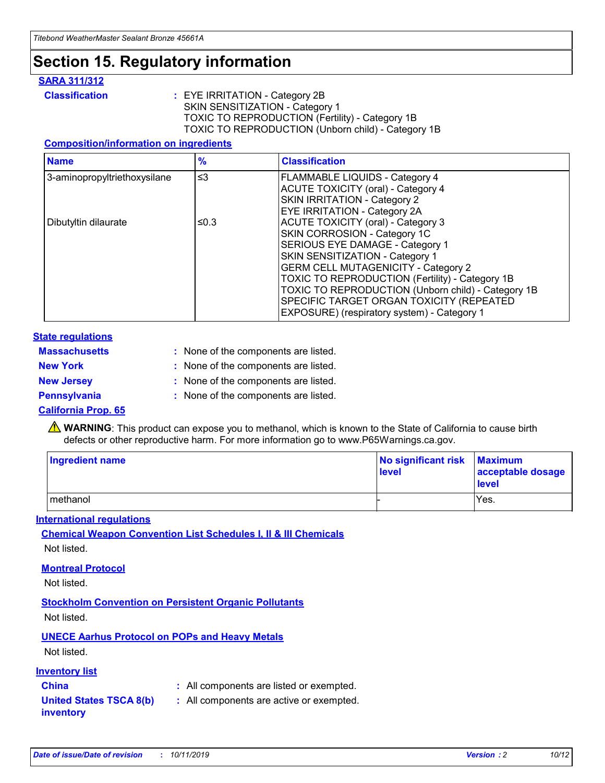## **Section 15. Regulatory information**

#### **SARA 311/312**

**Classification :** EYE IRRITATION - Category 2B SKIN SENSITIZATION - Category 1 TOXIC TO REPRODUCTION (Fertility) - Category 1B TOXIC TO REPRODUCTION (Unborn child) - Category 1B

#### **Composition/information on ingredients**

| <b>Name</b>                  | $\frac{9}{6}$ | <b>Classification</b>                                                                                            |
|------------------------------|---------------|------------------------------------------------------------------------------------------------------------------|
| 3-aminopropyltriethoxysilane | $\leq$ 3      | <b>FLAMMABLE LIQUIDS - Category 4</b><br><b>ACUTE TOXICITY (oral) - Category 4</b>                               |
|                              |               | SKIN IRRITATION - Category 2<br><b>EYE IRRITATION - Category 2A</b>                                              |
| Dibutyltin dilaurate         | ≤0.3          | ACUTE TOXICITY (oral) - Category 3<br>SKIN CORROSION - Category 1C                                               |
|                              |               | SERIOUS EYE DAMAGE - Category 1<br>SKIN SENSITIZATION - Category 1<br><b>GERM CELL MUTAGENICITY - Category 2</b> |
|                              |               | TOXIC TO REPRODUCTION (Fertility) - Category 1B<br>TOXIC TO REPRODUCTION (Unborn child) - Category 1B            |
|                              |               | SPECIFIC TARGET ORGAN TOXICITY (REPEATED<br>EXPOSURE) (respiratory system) - Category 1                          |

#### **State regulations**

| <b>Massachusetts</b> | : None of the components are listed. |
|----------------------|--------------------------------------|
| <b>New York</b>      | : None of the components are listed. |
| <b>New Jersey</b>    | : None of the components are listed. |
| <b>Pennsylvania</b>  | : None of the components are listed. |

#### **California Prop. 65**

**A** WARNING: This product can expose you to methanol, which is known to the State of California to cause birth defects or other reproductive harm. For more information go to www.P65Warnings.ca.gov.

| <b>Ingredient name</b> | No significant risk Maximum<br>level | acceptable dosage<br>level |
|------------------------|--------------------------------------|----------------------------|
| methanol               |                                      | Yes.                       |

#### **International regulations**

**Chemical Weapon Convention List Schedules I, II & III Chemicals** Not listed.

#### **Montreal Protocol**

Not listed.

**Stockholm Convention on Persistent Organic Pollutants**

Not listed.

### **UNECE Aarhus Protocol on POPs and Heavy Metals**

Not listed.

#### **Inventory list**

### **China :** All components are listed or exempted.

**United States TSCA 8(b) inventory :** All components are active or exempted.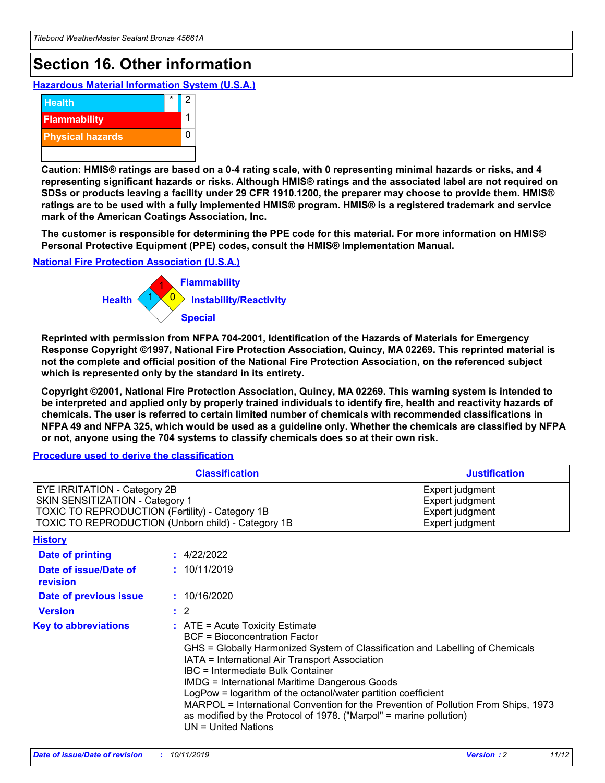## **Section 16. Other information**

**Hazardous Material Information System (U.S.A.)**



**Caution: HMIS® ratings are based on a 0-4 rating scale, with 0 representing minimal hazards or risks, and 4 representing significant hazards or risks. Although HMIS® ratings and the associated label are not required on SDSs or products leaving a facility under 29 CFR 1910.1200, the preparer may choose to provide them. HMIS® ratings are to be used with a fully implemented HMIS® program. HMIS® is a registered trademark and service mark of the American Coatings Association, Inc.**

**The customer is responsible for determining the PPE code for this material. For more information on HMIS® Personal Protective Equipment (PPE) codes, consult the HMIS® Implementation Manual.**

#### **National Fire Protection Association (U.S.A.)**



**Reprinted with permission from NFPA 704-2001, Identification of the Hazards of Materials for Emergency Response Copyright ©1997, National Fire Protection Association, Quincy, MA 02269. This reprinted material is not the complete and official position of the National Fire Protection Association, on the referenced subject which is represented only by the standard in its entirety.**

**Copyright ©2001, National Fire Protection Association, Quincy, MA 02269. This warning system is intended to be interpreted and applied only by properly trained individuals to identify fire, health and reactivity hazards of chemicals. The user is referred to certain limited number of chemicals with recommended classifications in NFPA 49 and NFPA 325, which would be used as a guideline only. Whether the chemicals are classified by NFPA or not, anyone using the 704 systems to classify chemicals does so at their own risk.**

#### **Procedure used to derive the classification**

|                                                                                                                    | <b>Classification</b>                                                                                                                                                                                                                                                                                                                                                                                                                                                                                                                                         | <b>Justification</b>                                                     |
|--------------------------------------------------------------------------------------------------------------------|---------------------------------------------------------------------------------------------------------------------------------------------------------------------------------------------------------------------------------------------------------------------------------------------------------------------------------------------------------------------------------------------------------------------------------------------------------------------------------------------------------------------------------------------------------------|--------------------------------------------------------------------------|
| EYE IRRITATION - Category 2B<br>SKIN SENSITIZATION - Category 1<br>TOXIC TO REPRODUCTION (Fertility) - Category 1B | TOXIC TO REPRODUCTION (Unborn child) - Category 1B                                                                                                                                                                                                                                                                                                                                                                                                                                                                                                            | Expert judgment<br>Expert judgment<br>Expert judgment<br>Expert judgment |
| <b>History</b>                                                                                                     |                                                                                                                                                                                                                                                                                                                                                                                                                                                                                                                                                               |                                                                          |
| <b>Date of printing</b>                                                                                            | : 4/22/2022                                                                                                                                                                                                                                                                                                                                                                                                                                                                                                                                                   |                                                                          |
| Date of issue/Date of<br>revision                                                                                  | : 10/11/2019                                                                                                                                                                                                                                                                                                                                                                                                                                                                                                                                                  |                                                                          |
| Date of previous issue                                                                                             | : 10/16/2020                                                                                                                                                                                                                                                                                                                                                                                                                                                                                                                                                  |                                                                          |
| <b>Version</b>                                                                                                     | $\therefore$ 2                                                                                                                                                                                                                                                                                                                                                                                                                                                                                                                                                |                                                                          |
| <b>Key to abbreviations</b>                                                                                        | $:$ ATE = Acute Toxicity Estimate<br><b>BCF</b> = Bioconcentration Factor<br>GHS = Globally Harmonized System of Classification and Labelling of Chemicals<br>IATA = International Air Transport Association<br>IBC = Intermediate Bulk Container<br><b>IMDG = International Maritime Dangerous Goods</b><br>LogPow = logarithm of the octanol/water partition coefficient<br>MARPOL = International Convention for the Prevention of Pollution From Ships, 1973<br>as modified by the Protocol of 1978. ("Marpol" = marine pollution)<br>UN = United Nations |                                                                          |